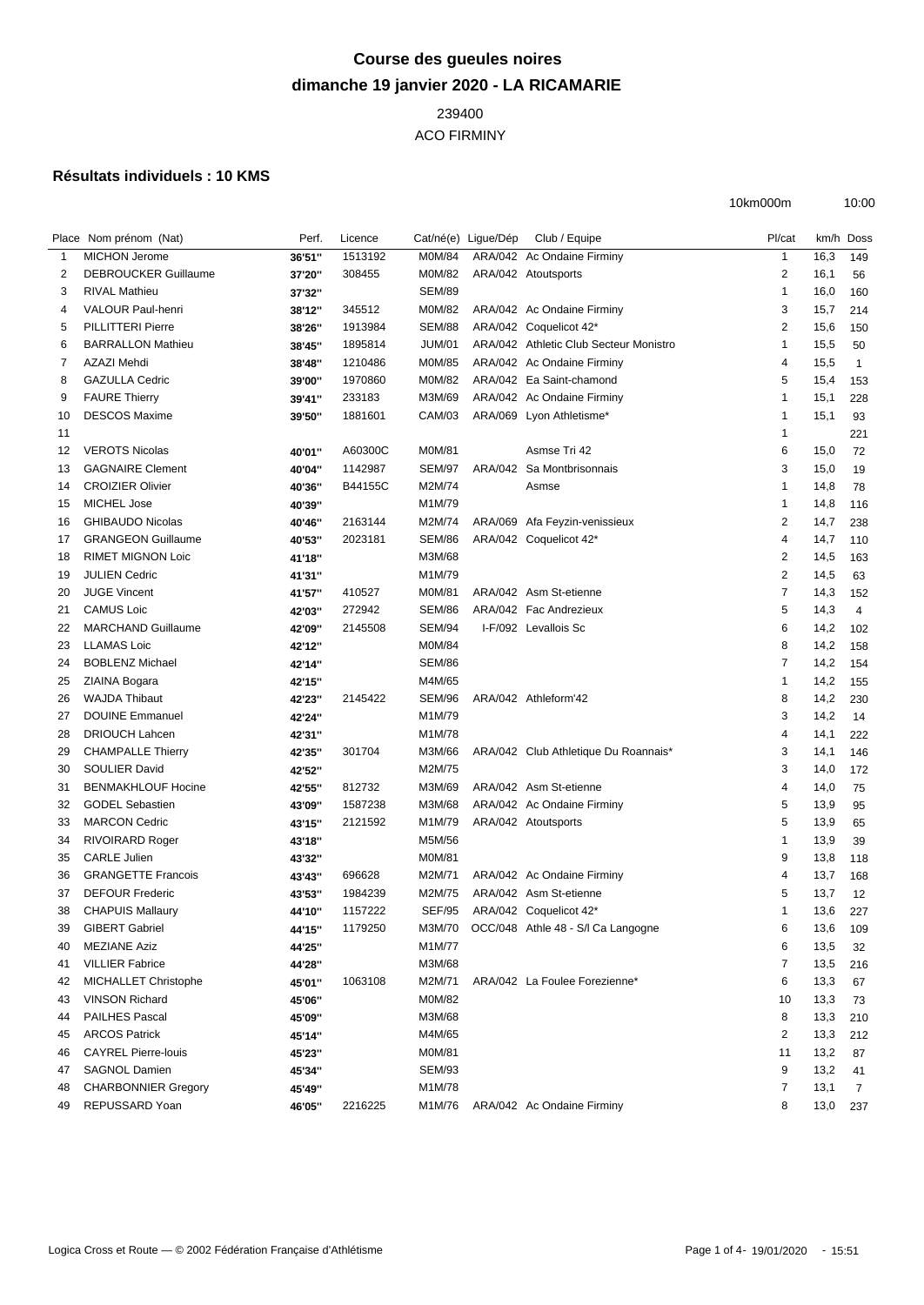## **Course des gueules noires dimanche 19 janvier 2020 - LA RICAMARIE**

## 

ACO FIRMINY

## **Résultats individuels : 10 KMS**

|    | Place Nom prénom (Nat)                       | Perf.  | Licence |                  | Cat/né(e) Lique/Dép | Club / Equipe                          | Pl/cat                  |              | km/h Doss    |
|----|----------------------------------------------|--------|---------|------------------|---------------------|----------------------------------------|-------------------------|--------------|--------------|
| -1 | <b>MICHON Jerome</b>                         | 36'51" | 1513192 | M0M/84           |                     | ARA/042 Ac Ondaine Firminy             | $\mathbf{1}$            | 16,3         | 149          |
| 2  | <b>DEBROUCKER Guillaume</b>                  | 37'20" | 308455  | M0M/82           |                     | ARA/042 Atoutsports                    | $\overline{2}$          | 16,1         | 56           |
| 3  | <b>RIVAL Mathieu</b>                         | 37'32" |         | <b>SEM/89</b>    |                     |                                        | $\mathbf{1}$            | 16,0         | 160          |
| 4  | <b>VALOUR Paul-henri</b>                     | 38'12" | 345512  | M0M/82           |                     | ARA/042 Ac Ondaine Firminy             | 3                       | 15,7         | 214          |
| 5  | <b>PILLITTERI Pierre</b>                     | 38'26" | 1913984 | <b>SEM/88</b>    |                     | ARA/042 Coquelicot 42*                 | $\overline{2}$          | 15,6         | 150          |
| 6  | <b>BARRALLON Mathieu</b>                     | 38'45" | 1895814 | <b>JUM/01</b>    |                     | ARA/042 Athletic Club Secteur Monistro | $\mathbf{1}$            | 15,5         | 50           |
| 7  | AZAZI Mehdi                                  | 38'48" | 1210486 | M0M/85           |                     | ARA/042 Ac Ondaine Firminy             | $\overline{4}$          | 15,5         | $\mathbf{1}$ |
| 8  | <b>GAZULLA Cedric</b>                        | 39'00" | 1970860 | M0M/82           |                     | ARA/042 Ea Saint-chamond               | 5                       | 15,4         | 153          |
| 9  | <b>FAURE Thierry</b>                         | 39'41" | 233183  | M3M/69           |                     | ARA/042 Ac Ondaine Firminy             | $\overline{\mathbf{1}}$ | 15,1         | 228          |
| 10 | <b>DESCOS Maxime</b>                         | 39'50" | 1881601 | CAM/03           |                     | ARA/069 Lyon Athletisme*               | $\overline{\mathbf{1}}$ | 15,1         | 93           |
| 11 |                                              |        |         |                  |                     |                                        | $\overline{\mathbf{1}}$ |              | 221          |
| 12 | <b>VEROTS Nicolas</b>                        | 40'01" | A60300C | M0M/81           |                     | Asmse Tri 42                           | 6                       | 15,0         | 72           |
| 13 | <b>GAGNAIRE Clement</b>                      | 40'04" | 1142987 | <b>SEM/97</b>    |                     | ARA/042 Sa Montbrisonnais              | 3                       | 15,0         |              |
|    | <b>CROIZIER Olivier</b>                      |        |         | M2M/74           |                     |                                        | $\overline{1}$          |              | 19           |
| 14 |                                              | 40'36" | B44155C |                  |                     | Asmse                                  |                         | 14,8         | 78           |
| 15 | <b>MICHEL Jose</b>                           | 40'39" |         | M1M/79           |                     |                                        | $\overline{1}$          | 14,8         | 116          |
| 16 | <b>GHIBAUDO Nicolas</b>                      | 40'46" | 2163144 | M2M/74           |                     | ARA/069 Afa Feyzin-venissieux          | $\overline{2}$          | 14,7         | 238          |
| 17 | <b>GRANGEON Guillaume</b>                    | 40'53" | 2023181 | <b>SEM/86</b>    |                     | ARA/042 Coquelicot 42*                 | $\overline{4}$          | 14,7         | 110          |
| 18 | <b>RIMET MIGNON Loic</b>                     | 41'18" |         | M3M/68           |                     |                                        | $\overline{2}$          | 14,5         | 163          |
| 19 | <b>JULIEN Cedric</b>                         | 41'31" |         | M1M/79           |                     |                                        | $\sqrt{2}$              | 14,5         | 63           |
| 20 | <b>JUGE Vincent</b>                          | 41'57" | 410527  | M0M/81           |                     | ARA/042 Asm St-etienne                 | $\overline{7}$          | 14,3         | 152          |
| 21 | <b>CAMUS Loic</b>                            | 42'03" | 272942  | <b>SEM/86</b>    |                     | ARA/042 Fac Andrezieux                 | 5                       | 14,3         | 4            |
| 22 | <b>MARCHAND Guillaume</b>                    | 42'09" | 2145508 | <b>SEM/94</b>    |                     | I-F/092 Levallois Sc                   | 6                       | 14,2         | 102          |
| 23 | <b>LLAMAS Loic</b>                           | 42'12" |         | M0M/84           |                     |                                        | 8                       | 14,2         | 158          |
| 24 | <b>BOBLENZ Michael</b>                       | 42'14" |         | <b>SEM/86</b>    |                     |                                        | 7                       | 14,2         | 154          |
| 25 | ZIAINA Bogara                                | 42'15" |         | M4M/65           |                     |                                        | $\overline{1}$          | 14,2         | 155          |
| 26 | <b>WAJDA Thibaut</b>                         | 42'23" | 2145422 | SEM/96           |                     | ARA/042 Athleform'42                   | 8                       | 14,2         | 230          |
| 27 | <b>DOUINE Emmanuel</b>                       | 42'24" |         | M1M/79           |                     |                                        | 3                       | 14,2         | 14           |
| 28 | <b>DRIOUCH Lahcen</b>                        | 42'31" |         | M1M/78           |                     |                                        | $\overline{4}$          | 14,1         | 222          |
| 29 | <b>CHAMPALLE Thierry</b>                     | 42'35" | 301704  | M3M/66           |                     | ARA/042 Club Athletique Du Roannais*   | 3                       | 14,1         | 146          |
| 30 | SOULIER David                                | 42'52" |         | M2M/75           |                     |                                        | 3                       | 14,0         | 172          |
| 31 | <b>BENMAKHLOUF Hocine</b>                    | 42'55" | 812732  | M3M/69           |                     | ARA/042 Asm St-etienne                 | 4                       | 14,0         | 75           |
| 32 | <b>GODEL Sebastien</b>                       | 43'09" | 1587238 | M3M/68           |                     | ARA/042 Ac Ondaine Firminy             | 5                       | 13,9         | 95           |
| 33 | <b>MARCON Cedric</b>                         | 43'15" | 2121592 | M1M/79           |                     | ARA/042 Atoutsports                    | 5                       | 13,9         | 65           |
| 34 | <b>RIVOIRARD Roger</b>                       | 43'18" |         | M5M/56           |                     |                                        | $\overline{1}$          | 13,9         | 39           |
| 35 | <b>CARLE Julien</b>                          | 43'32" |         | M0M/81           |                     |                                        | 9                       | 13,8         | 118          |
| 36 | <b>GRANGETTE Francois</b>                    | 43'43" | 696628  | M2M/71           |                     | ARA/042 Ac Ondaine Firminy             | $\overline{4}$          | 13,7         | 168          |
| 37 | <b>DEFOUR Frederic</b>                       | 43'53" | 1984239 | M2M/75           |                     | ARA/042 Asm St-etienne                 | 5                       | 13,7         | 12           |
| 38 | <b>CHAPUIS Mallaury</b>                      | 44'10" | 1157222 | <b>SEF/95</b>    |                     | ARA/042 Coquelicot 42*                 | $\overline{1}$          | 13,6         | 227          |
| 39 | <b>GIBERT Gabriel</b>                        | 44'15" | 1179250 | M3M/70           |                     | OCC/048 Athle 48 - S/I Ca Langogne     | 6                       | 13,6         | 109          |
| 40 | <b>MEZIANE Aziz</b>                          | 44'25" |         | M1M/77           |                     |                                        | 6                       | 13,5         | 32           |
| 41 | <b>VILLIER Fabrice</b>                       | 44'28" |         | M3M/68           |                     |                                        | 7                       | 13,5         | 216          |
| 42 | MICHALLET Christophe                         | 45'01" | 1063108 | M2M/71           |                     | ARA/042 La Foulee Forezienne*          | 6                       | 13,3         | 67           |
| 43 | <b>VINSON Richard</b>                        | 45'06" |         | M0M/82           |                     |                                        | 10                      | 13,3         | 73           |
| 44 | <b>PAILHES Pascal</b>                        | 45'09" |         | M3M/68           |                     |                                        | 8                       | 13,3         | 210          |
| 45 | <b>ARCOS Patrick</b>                         | 45'14" |         | M4M/65           |                     |                                        | $\overline{2}$          | 13,3         | 212          |
| 46 | <b>CAYREL Pierre-louis</b>                   | 45'23" |         | M0M/81           |                     |                                        | 11                      | 13,2         | 87           |
| 47 | <b>SAGNOL Damien</b>                         |        |         | <b>SEM/93</b>    |                     |                                        | 9                       | 13,2         |              |
|    |                                              | 45'34" |         |                  |                     |                                        |                         |              | 41           |
| 48 | <b>CHARBONNIER Gregory</b><br>REPUSSARD Yoan | 45'49" | 2216225 | M1M/78<br>M1M/76 |                     | ARA/042 Ac Ondaine Firminy             | 7                       | 13,1<br>13,0 | 7            |
| 49 |                                              | 46'05" |         |                  |                     |                                        | 8                       |              | 237          |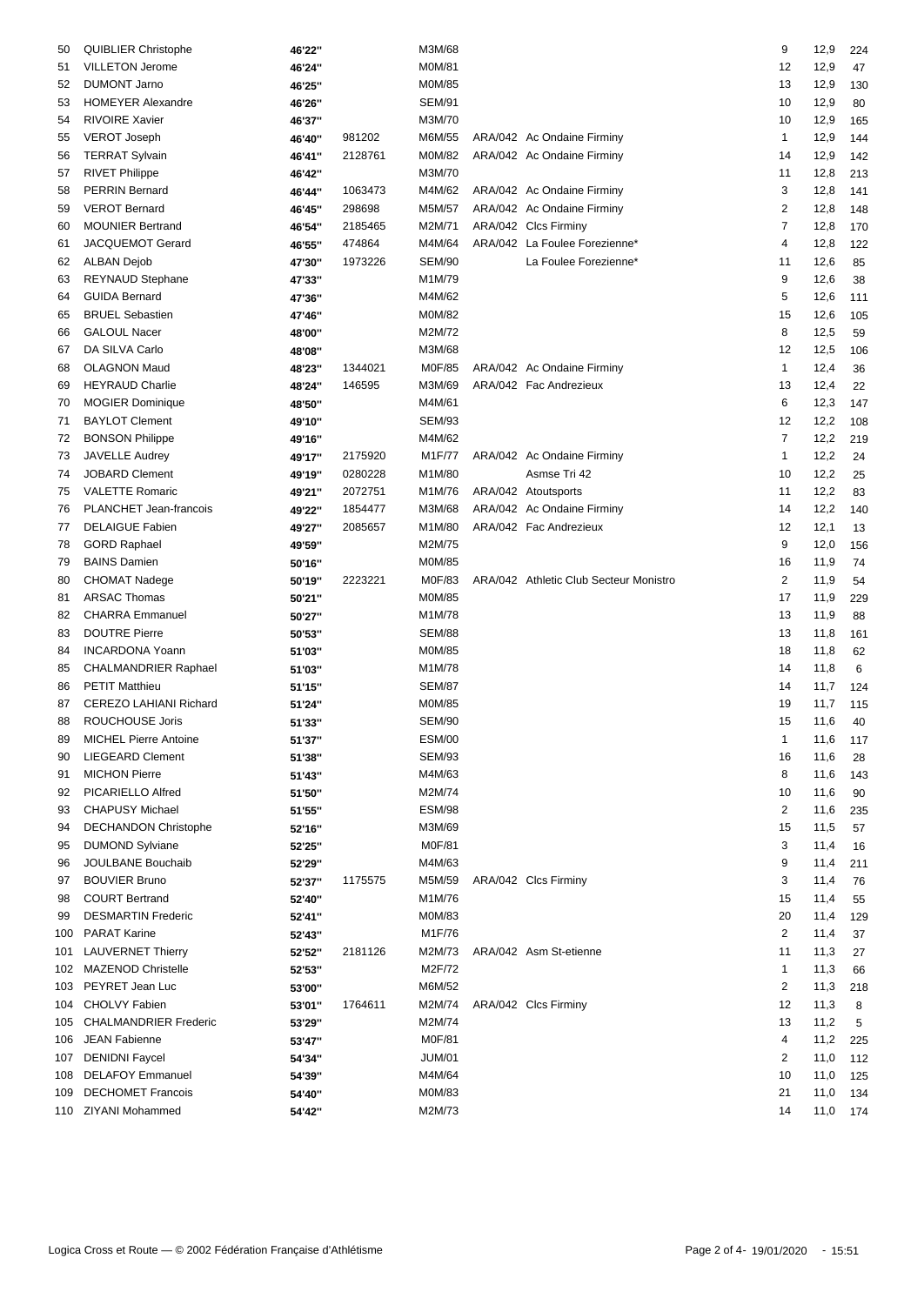| 50  | <b>QUIBLIER Christophe</b>   | 46'22" |         | M3M/68        |                                        | 9                       | 12,9     | 224 |
|-----|------------------------------|--------|---------|---------------|----------------------------------------|-------------------------|----------|-----|
| 51  | VILLETON Jerome              | 46'24" |         | M0M/81        |                                        | 12                      | 12,9     | 47  |
| 52  | <b>DUMONT Jarno</b>          | 46'25" |         | M0M/85        |                                        | 13                      | 12,9     | 130 |
| 53  | <b>HOMEYER Alexandre</b>     | 46'26" |         | <b>SEM/91</b> |                                        | 10                      | 12,9     | 80  |
| 54  | <b>RIVOIRE Xavier</b>        | 46'37" |         | M3M/70        |                                        | 10                      | 12,9     | 165 |
| 55  | <b>VEROT Joseph</b>          | 46'40" | 981202  | M6M/55        | ARA/042 Ac Ondaine Firminy             | 1                       | 12,9     | 144 |
| 56  | <b>TERRAT Sylvain</b>        | 46'41" | 2128761 | M0M/82        | ARA/042 Ac Ondaine Firminy             | 14                      | 12,9     | 142 |
| 57  | <b>RIVET Philippe</b>        | 46'42" |         | M3M/70        |                                        | 11                      | 12,8     | 213 |
| 58  | <b>PERRIN Bernard</b>        | 46'44" | 1063473 | M4M/62        | ARA/042 Ac Ondaine Firminy             | 3                       | 12,8     | 141 |
| 59  | <b>VEROT Bernard</b>         | 46'45" | 298698  | M5M/57        | ARA/042 Ac Ondaine Firminy             | $\overline{\mathbf{c}}$ | 12,8     | 148 |
| 60  | <b>MOUNIER Bertrand</b>      | 46'54" | 2185465 | M2M/71        | ARA/042 Clcs Firminy                   | 7                       | 12,8     | 170 |
| 61  | JACQUEMOT Gerard             | 46'55" | 474864  | M4M/64        | ARA/042 La Foulee Forezienne*          | 4                       | 12,8     | 122 |
|     | <b>ALBAN Dejob</b>           |        | 1973226 | <b>SEM/90</b> | La Foulee Forezienne*                  | 11                      | 12,6     |     |
| 62  |                              | 47'30" |         |               |                                        |                         |          | 85  |
| 63  | <b>REYNAUD Stephane</b>      | 47'33" |         | M1M/79        |                                        | 9                       | 12,6     | 38  |
| 64  | <b>GUIDA Bernard</b>         | 47'36" |         | M4M/62        |                                        | 5                       | 12,6     | 111 |
| 65  | <b>BRUEL Sebastien</b>       | 47'46" |         | M0M/82        |                                        | 15                      | 12,6     | 105 |
| 66  | <b>GALOUL Nacer</b>          | 48'00" |         | M2M/72        |                                        | 8                       | 12,5     | 59  |
| 67  | DA SILVA Carlo               | 48'08" |         | M3M/68        |                                        | 12                      | 12,5     | 106 |
| 68  | <b>OLAGNON Maud</b>          | 48'23" | 1344021 | M0F/85        | ARA/042 Ac Ondaine Firminy             | 1                       | 12,4     | 36  |
| 69  | <b>HEYRAUD Charlie</b>       | 48'24" | 146595  | M3M/69        | ARA/042 Fac Andrezieux                 | 13                      | 12,4     | 22  |
| 70  | <b>MOGIER Dominique</b>      | 48'50" |         | M4M/61        |                                        | 6                       | 12,3     | 147 |
| 71  | <b>BAYLOT Clement</b>        | 49'10" |         | <b>SEM/93</b> |                                        | 12                      | 12,2     | 108 |
| 72  | <b>BONSON Philippe</b>       | 49'16" |         | M4M/62        |                                        | $\overline{7}$          | 12,2     | 219 |
| 73  | <b>JAVELLE Audrey</b>        | 49'17" | 2175920 | M1F/77        | ARA/042 Ac Ondaine Firminy             | 1                       | 12,2     | 24  |
| 74  | <b>JOBARD Clement</b>        | 49'19" | 0280228 | M1M/80        | Asmse Tri 42                           | 10                      | 12,2     | 25  |
| 75  | <b>VALETTE Romaric</b>       | 49'21" | 2072751 | M1M/76        | ARA/042 Atoutsports                    | 11                      | 12,2     | 83  |
| 76  | PLANCHET Jean-francois       | 49'22" | 1854477 | M3M/68        | ARA/042 Ac Ondaine Firminy             | 14                      | 12,2     | 140 |
| 77  | <b>DELAIGUE Fabien</b>       | 49'27" | 2085657 | M1M/80        | ARA/042 Fac Andrezieux                 | 12                      | 12,1     | 13  |
| 78  | <b>GORD Raphael</b>          | 49'59" |         | M2M/75        |                                        | 9                       | 12,0     | 156 |
| 79  | <b>BAINS Damien</b>          | 50'16" |         | M0M/85        |                                        | 16                      | 11,9     | 74  |
| 80  | <b>CHOMAT Nadege</b>         | 50'19" | 2223221 | M0F/83        | ARA/042 Athletic Club Secteur Monistro | 2                       | 11,9     | 54  |
| 81  | <b>ARSAC Thomas</b>          | 50'21" |         | M0M/85        |                                        | 17                      | 11,9     | 229 |
| 82  | <b>CHARRA</b> Emmanuel       | 50'27" |         | M1M/78        |                                        | 13                      | 11,9     | 88  |
| 83  | <b>DOUTRE Pierre</b>         | 50'53" |         | <b>SEM/88</b> |                                        | 13                      | 11,8     | 161 |
| 84  | <b>INCARDONA Yoann</b>       |        |         | M0M/85        |                                        | 18                      |          |     |
|     |                              | 51'03" |         |               |                                        |                         | 11,8     | 62  |
| 85  | <b>CHALMANDRIER Raphael</b>  | 51'03" |         | M1M/78        |                                        | 14                      | 11,8     | 6   |
| 86  | <b>PETIT Matthieu</b>        | 51'15" |         | <b>SEM/87</b> |                                        | 14                      | 11,7     | 124 |
| 87  | CEREZO LAHIANI Richard       | 51'24" |         | M0M/85        |                                        | 19                      | 11,7     | 115 |
| 88  | ROUCHOUSE Joris              | 51'33" |         | <b>SEM/90</b> |                                        | 15                      | 11,6     | 40  |
| 89  | MICHEL Pierre Antoine        | 51'37" |         | <b>ESM/00</b> |                                        | $\mathbf{1}$            | 11,6     | 117 |
| 90  | <b>LIEGEARD Clement</b>      | 51'38" |         | <b>SEM/93</b> |                                        | 16                      | 11,6     | 28  |
| 91  | <b>MICHON Pierre</b>         | 51'43" |         | M4M/63        |                                        | 8                       | 11,6     | 143 |
| 92  | PICARIELLO Alfred            | 51'50" |         | M2M/74        |                                        | 10                      | 11,6     | 90  |
| 93  | <b>CHAPUSY Michael</b>       | 51'55" |         | <b>ESM/98</b> |                                        | 2                       | 11,6     | 235 |
| 94  | <b>DECHANDON Christophe</b>  | 52'16" |         | M3M/69        |                                        | 15                      | 11,5     | 57  |
| 95  | <b>DUMOND Sylviane</b>       | 52'25" |         | M0F/81        |                                        | 3                       | 11,4     | 16  |
| 96  | JOULBANE Bouchaib            | 52'29" |         | M4M/63        |                                        | 9                       | 11,4     | 211 |
| 97  | <b>BOUVIER Bruno</b>         | 52'37" | 1175575 | M5M/59        | ARA/042 Clcs Firminy                   | 3                       | 11,4     | 76  |
| 98  | <b>COURT Bertrand</b>        | 52'40" |         | M1M/76        |                                        | 15                      | 11,4     | 55  |
| 99  | <b>DESMARTIN Frederic</b>    | 52'41" |         | M0M/83        |                                        | 20                      | 11,4     | 129 |
| 100 | <b>PARAT Karine</b>          | 52'43" |         | M1F/76        |                                        | 2                       | 11,4     | 37  |
| 101 | <b>LAUVERNET Thierry</b>     | 52'52" | 2181126 | M2M/73        | ARA/042 Asm St-etienne                 | 11                      | 11,3     | 27  |
|     | 102 MAZENOD Christelle       | 52'53" |         | M2F/72        |                                        | 1                       | 11,3     | 66  |
| 103 | PEYRET Jean Luc              | 53'00" |         | M6M/52        |                                        | 2                       | 11,3     | 218 |
|     | 104 CHOLVY Fabien            | 53'01" | 1764611 | M2M/74        | ARA/042 Clcs Firminy                   | 12                      | 11,3     |     |
| 105 | <b>CHALMANDRIER Frederic</b> |        |         | M2M/74        |                                        | 13                      |          | 8   |
|     |                              | 53'29" |         |               |                                        |                         | 11,2     | 5   |
| 106 | JEAN Fabienne                | 53'47" |         | M0F/81        |                                        | 4                       | 11,2     | 225 |
| 107 | <b>DENIDNI Faycel</b>        | 54'34" |         | <b>JUM/01</b> |                                        | 2                       | 11,0     | 112 |
| 108 | <b>DELAFOY Emmanuel</b>      | 54'39" |         | M4M/64        |                                        | 10                      | 11,0     | 125 |
| 109 | <b>DECHOMET Francois</b>     | 54'40" |         | M0M/83        |                                        | 21                      | 11,0     | 134 |
|     | 110 ZIYANI Mohammed          | 54'42" |         | M2M/73        |                                        | 14                      | 11,0 174 |     |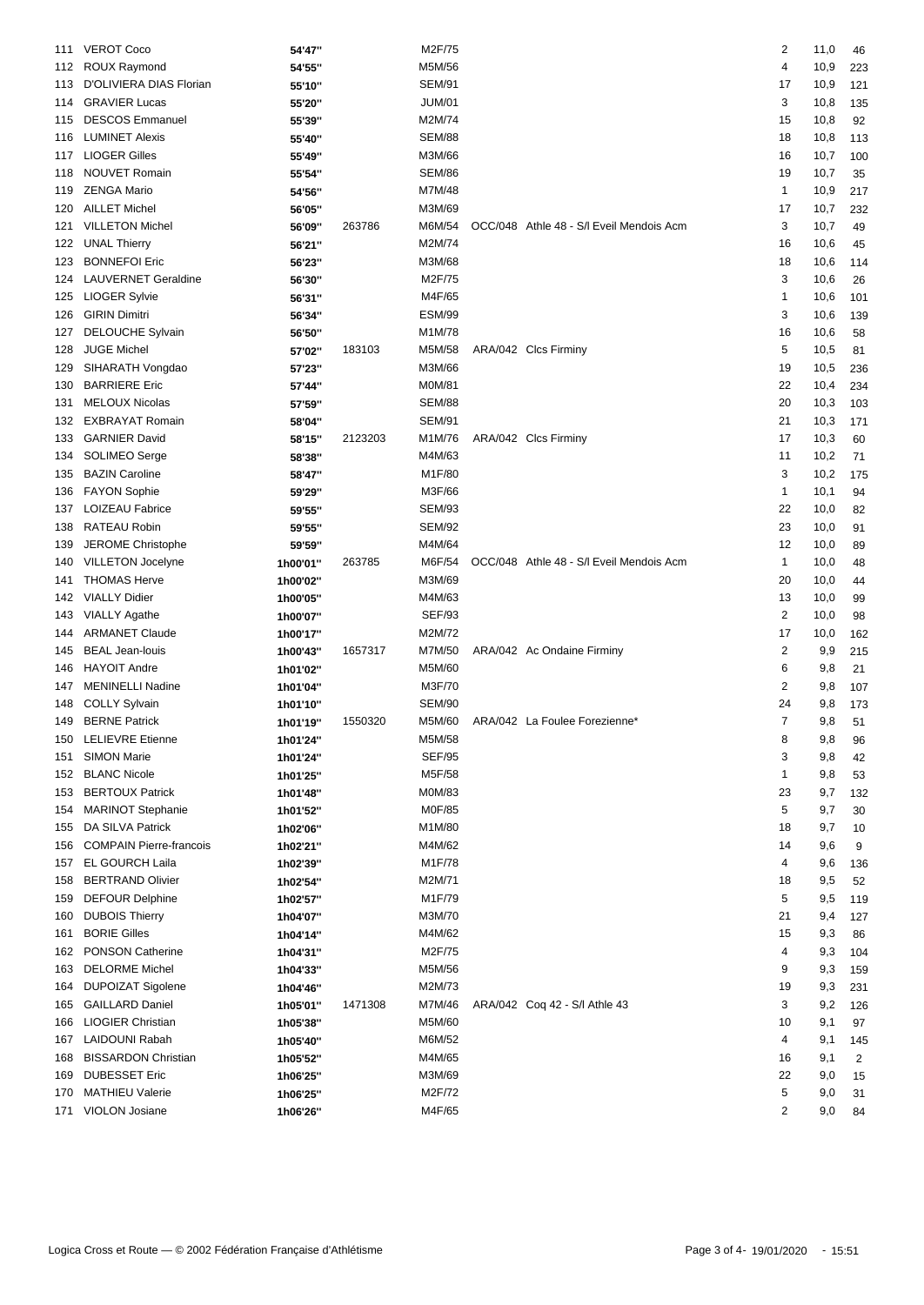| 111 | <b>VEROT Coco</b>              | 54'47"   |         | M2F/75        |                                          | 2              | 11,0 | 46  |
|-----|--------------------------------|----------|---------|---------------|------------------------------------------|----------------|------|-----|
| 112 | <b>ROUX Raymond</b>            | 54'55"   |         | M5M/56        |                                          | 4              | 10,9 | 223 |
| 113 | D'OLIVIERA DIAS Florian        | 55'10"   |         | <b>SEM/91</b> |                                          | 17             | 10,9 | 121 |
| 114 | <b>GRAVIER Lucas</b>           | 55'20"   |         | <b>JUM/01</b> |                                          | 3              | 10,8 | 135 |
| 115 | <b>DESCOS Emmanuel</b>         | 55'39"   |         | M2M/74        |                                          | 15             | 10,8 | 92  |
| 116 | <b>LUMINET Alexis</b>          | 55'40"   |         | <b>SEM/88</b> |                                          | 18             | 10,8 | 113 |
| 117 | <b>LIOGER Gilles</b>           | 55'49"   |         | M3M/66        |                                          | 16             | 10,7 | 100 |
| 118 | <b>NOUVET Romain</b>           | 55'54"   |         | <b>SEM/86</b> |                                          | 19             | 10,7 | 35  |
| 119 | <b>ZENGA Mario</b>             | 54'56"   |         | M7M/48        |                                          | 1              | 10,9 | 217 |
| 120 | <b>AILLET Michel</b>           | 56'05"   |         | M3M/69        |                                          | 17             | 10,7 | 232 |
| 121 | <b>VILLETON Michel</b>         | 56'09"   | 263786  | M6M/54        | OCC/048 Athle 48 - S/I Eveil Mendois Acm | 3              | 10,7 | 49  |
| 122 | <b>UNAL Thierry</b>            | 56'21"   |         | M2M/74        |                                          | 16             | 10,6 | 45  |
| 123 | <b>BONNEFOI Eric</b>           | 56'23"   |         | M3M/68        |                                          | 18             | 10,6 | 114 |
| 124 | <b>LAUVERNET Geraldine</b>     | 56'30"   |         | M2F/75        |                                          | 3              | 10,6 | 26  |
| 125 | <b>LIOGER Sylvie</b>           | 56'31"   |         | M4F/65        |                                          | 1              | 10,6 | 101 |
| 126 | <b>GIRIN Dimitri</b>           |          |         | <b>ESM/99</b> |                                          | 3              | 10,6 | 139 |
| 127 | <b>DELOUCHE Sylvain</b>        | 56'34"   |         | M1M/78        |                                          | 16             | 10,6 | 58  |
| 128 | <b>JUGE Michel</b>             | 56'50"   | 183103  | M5M/58        | ARA/042 Clcs Firminy                     | 5              |      |     |
|     |                                | 57'02"   |         |               |                                          |                | 10,5 | 81  |
| 129 | SIHARATH Vongdao               | 57'23"   |         | M3M/66        |                                          | 19             | 10,5 | 236 |
| 130 | <b>BARRIERE Eric</b>           | 57'44"   |         | M0M/81        |                                          | 22             | 10,4 | 234 |
| 131 | <b>MELOUX Nicolas</b>          | 57'59"   |         | <b>SEM/88</b> |                                          | 20             | 10,3 | 103 |
| 132 | <b>EXBRAYAT Romain</b>         | 58'04"   |         | <b>SEM/91</b> |                                          | 21             | 10,3 | 171 |
| 133 | <b>GARNIER David</b>           | 58'15"   | 2123203 | M1M/76        | ARA/042 Clcs Firminy                     | 17             | 10,3 | 60  |
| 134 | SOLIMEO Serge                  | 58'38"   |         | M4M/63        |                                          | 11             | 10,2 | 71  |
| 135 | <b>BAZIN Caroline</b>          | 58'47"   |         | M1F/80        |                                          | 3              | 10,2 | 175 |
| 136 | <b>FAYON Sophie</b>            | 59'29"   |         | M3F/66        |                                          | 1              | 10,1 | 94  |
| 137 | LOIZEAU Fabrice                | 59'55"   |         | <b>SEM/93</b> |                                          | 22             | 10,0 | 82  |
| 138 | RATEAU Robin                   | 59'55"   |         | <b>SEM/92</b> |                                          | 23             | 10,0 | 91  |
| 139 | JEROME Christophe              | 59'59"   |         | M4M/64        |                                          | 12             | 10,0 | 89  |
| 140 | <b>VILLETON Jocelyne</b>       | 1h00'01" | 263785  | M6F/54        | OCC/048 Athle 48 - S/I Eveil Mendois Acm | 1              | 10,0 | 48  |
| 141 | <b>THOMAS Herve</b>            | 1h00'02" |         | M3M/69        |                                          | 20             | 10,0 | 44  |
| 142 | <b>VIALLY Didier</b>           | 1h00'05" |         | M4M/63        |                                          | 13             | 10,0 | 99  |
| 143 | <b>VIALLY Agathe</b>           | 1h00'07" |         | <b>SEF/93</b> |                                          | 2              | 10,0 | 98  |
| 144 | <b>ARMANET Claude</b>          | 1h00'17" |         | M2M/72        |                                          | 17             | 10,0 | 162 |
| 145 | <b>BEAL Jean-louis</b>         | 1h00'43" | 1657317 | M7M/50        | ARA/042 Ac Ondaine Firminy               | 2              | 9,9  | 215 |
| 146 | <b>HAYOIT Andre</b>            | 1h01'02" |         | M5M/60        |                                          | 6              | 9,8  | 21  |
| 147 | <b>MENINELLI Nadine</b>        | 1h01'04" |         | M3F/70        |                                          | 2              | 9,8  | 107 |
| 148 | <b>COLLY Sylvain</b>           | 1h01'10" |         | <b>SEM/90</b> |                                          | 24             | 9,8  | 173 |
|     | 149 BERNE Patrick              | 1h01'19" | 1550320 | M5M/60        | ARA/042 La Foulee Forezienne*            | $\overline{7}$ | 9,8  | 51  |
|     | 150 LELIEVRE Etienne           | 1h01'24" |         | M5M/58        |                                          | 8              | 9,8  | 96  |
| 151 | <b>SIMON Marie</b>             | 1h01'24" |         | <b>SEF/95</b> |                                          | 3              | 9,8  | 42  |
| 152 | <b>BLANC Nicole</b>            | 1h01'25" |         | M5F/58        |                                          | 1              | 9,8  | 53  |
| 153 | <b>BERTOUX Patrick</b>         | 1h01'48" |         | M0M/83        |                                          | 23             | 9,7  | 132 |
| 154 | <b>MARINOT Stephanie</b>       | 1h01'52" |         | M0F/85        |                                          | 5              | 9,7  | 30  |
| 155 | DA SILVA Patrick               | 1h02'06" |         | M1M/80        |                                          | 18             | 9,7  | 10  |
| 156 | <b>COMPAIN Pierre-francois</b> | 1h02'21" |         | M4M/62        |                                          | 14             | 9,6  | 9   |
| 157 | <b>EL GOURCH Laila</b>         | 1h02'39" |         | M1F/78        |                                          | 4              | 9,6  | 136 |
| 158 | <b>BERTRAND Olivier</b>        | 1h02'54" |         | M2M/71        |                                          | 18             | 9,5  | 52  |
| 159 | <b>DEFOUR Delphine</b>         | 1h02'57" |         | M1F/79        |                                          | 5              | 9,5  | 119 |
| 160 | <b>DUBOIS Thierry</b>          | 1h04'07" |         | M3M/70        |                                          | 21             | 9,4  | 127 |
| 161 | <b>BORIE Gilles</b>            | 1h04'14" |         | M4M/62        |                                          | 15             | 9,3  | 86  |
| 162 | PONSON Catherine               | 1h04'31" |         | M2F/75        |                                          | 4              | 9,3  | 104 |
| 163 | <b>DELORME</b> Michel          | 1h04'33" |         | M5M/56        |                                          | 9              | 9,3  | 159 |
| 164 | <b>DUPOIZAT Sigolene</b>       | 1h04'46" |         | M2M/73        |                                          | 19             | 9,3  | 231 |
| 165 | <b>GAILLARD Daniel</b>         | 1h05'01" | 1471308 | M7M/46        | ARA/042 Coq 42 - S/l Athle 43            | 3              | 9,2  | 126 |
| 166 | <b>LIOGIER Christian</b>       | 1h05'38" |         | M5M/60        |                                          | 10             | 9,1  | 97  |
| 167 | LAIDOUNI Rabah                 |          |         | M6M/52        |                                          | 4              | 9,1  | 145 |
|     | <b>BISSARDON Christian</b>     | 1h05'40" |         | M4M/65        |                                          |                |      |     |
| 168 | <b>DUBESSET Eric</b>           | 1h05'52" |         | M3M/69        |                                          | 16<br>22       | 9,1  | 2   |
| 169 |                                | 1h06'25" |         |               |                                          | 5              | 9,0  | 15  |
| 170 | <b>MATHIEU Valerie</b>         | 1h06'25" |         | M2F/72        |                                          |                | 9,0  | 31  |
| 171 | VIOLON Josiane                 | 1h06'26" |         | M4F/65        |                                          | 2              | 9,0  | 84  |